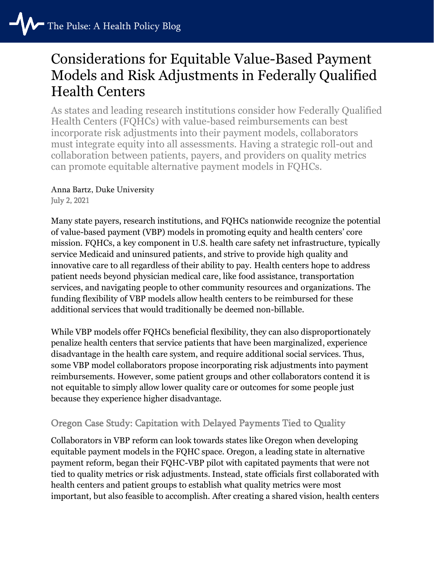# Considerations for Equitable Value-Based Payment Models and Risk Adjustments in Federally Qualified Health Centers

As states and leading research institutions consider how Federally Qualified Health Centers (FQHCs) with value-based reimbursements can best incorporate risk adjustments into their payment models, collaborators must integrate equity into all assessments. Having a strategic roll-out and collaboration between patients, payers, and providers on quality metrics can promote equitable alternative payment models in FQHCs.

Anna Bartz, Duke University July 2, 2021

Many state payers, research institutions, and FQHCs nationwide recognize the potential of value-based payment (VBP) models in promoting equity and health centers' core mission. FQHCs, a key component in U.S. health care safety net infrastructure, typically service Medicaid and uninsured patients, and strive to provide high quality and innovative care to all regardless of their ability to pay. Health centers hope to address patient needs beyond physician medical care, like food assistance, transportation services, and navigating people to other community resources and organizations. The funding flexibility of VBP models allow health centers to be reimbursed for these additional services that would traditionally be deemed non-billable.

While VBP models offer FQHCs beneficial flexibility, they can also disproportionately penalize health centers that service patients that have been marginalized, experience disadvantage in the health care system, and require additional social services. Thus, some VBP model collaborators propose incorporating risk adjustments into payment reimbursements. However, some patient groups and other collaborators contend it is not equitable to simply allow lower quality care or outcomes for some people just because they experience higher disadvantage.

# Oregon Case Study: Capitation with Delayed Payments Tied to Quality

Collaborators in VBP reform can look towards states like Oregon when developing equitable payment models in the FQHC space. Oregon, a leading state in alternative payment reform, began their FQHC-VBP pilot with capitated payments that were not tied to quality metrics or risk adjustments. Instead, state officials first collaborated with health centers and patient groups to establish what quality metrics were most important, but also feasible to accomplish. After creating a shared vision, health centers